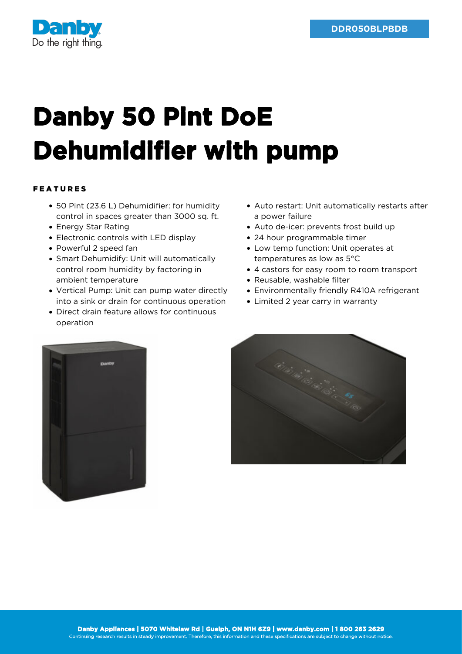

## **Danby 50 Pint DoE Dehumidifier with pump**

## FEATURES

- 50 Pint (23.6 L) Dehumidifier: for humidity control in spaces greater than 3000 sq. ft.
- Energy Star Rating
- Electronic controls with LED display
- Powerful 2 speed fan
- Smart Dehumidify: Unit will automatically control room humidity by factoring in ambient temperature
- Vertical Pump: Unit can pump water directly into a sink or drain for continuous operation
- Direct drain feature allows for continuous operation
- Auto restart: Unit automatically restarts after a power failure
- Auto de-icer: prevents frost build up
- 24 hour programmable timer
- Low temp function: Unit operates at temperatures as low as 5°C
- 4 castors for easy room to room transport
- Reusable, washable filter
- Environmentally friendly R410A refrigerant
- Limited 2 year carry in warranty